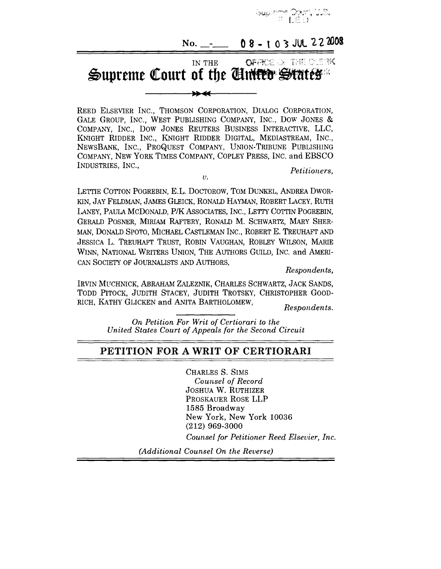

# **No.** \_\_\_ 08 - 103 JUL 222008

**OFFREQUITE DUETK** IN THE Supreme Court of the Ciniter States

REED ELSEVIER INC., THOMSON CORPORATION, DIALOG CORPORATION, GALE GROUP, INC., WEST PUBLISHING COMPANY, INC., DOW JONES & COMPANY, INC., DOW JONES REUTERS BUSINESS INTERACTIVE, LLC, KNIGHT RIDDER INC., KNIGHT RIDDER DIGITAL, MEDIASTREAM, INC., NEWSBANK, INC., PROQUEST COMPANY, UNION-TRIBUNE PUBLISHING COMPANY, NEW YORK TIMES COMPANY, COPLEY PRESS, INC. and EBSCO INDUSTRIES, INC., Petitioners.

 $\overline{U}$ .

LETTIE COTTON POGREBIN, E.L. DOCTOROW, TOM DUNKEL, ANDREA DWOR-KIN, JAY FELDMAN, JAMES GLEICK, RONALD HAYMAN, ROBERT LACEY, RUTH IANEY, PAULA MCDONALD, P/K ASSOCIATES, INC., LETTY COTTIN POGREBIN, GERALD POSNER, MIRIAM RAFTERY, RONALD M. SCHWARTZ, MARY SHER-MAN, DONALD SPOTO, MICHAEL CASTLEMAN INC., ROBERT E. TREUHAFT AND JESSICA L. TREUHAFT TRUST, ROBIN VAUGHAN, ROBLEY WILSON, MARIE WINN, NATIONAL WRITERS UNION, THE AUTHORS GUILD, INC. and AMERI-CAN SOCIETY OF JOURNALISTS AND AUTHORS,

*Respondents,*

IRVIN MUCHNICK, ABRAHAM ZALEZNIK, CHARLES SCHWARTZ, JACK SANDS, TODD PITOCK, JUDITH STACEY, JUDITH TROTSKY, CHRISTOPHER GOOD-RICH, KATHY GLICKEN and ANITA BARTHOLOMEW,

*Respondents.*

*On Petition For Writ of Certiorari to the United States Court of Appeals for the Second Circuit*

## **PETITION FOR A WRIT OF CERTIORARI**

CHARLES S. SIMS *Counsel of Record* JOSHUA W. RUTHIZER PROSKAUER ROSE LLP 1585 Broadway New York, New York 10036 (212) 969-3000

*Counsel for Petitioner Reed Elsevier, Inc.*

*(Additional Counsel On the Reverse)*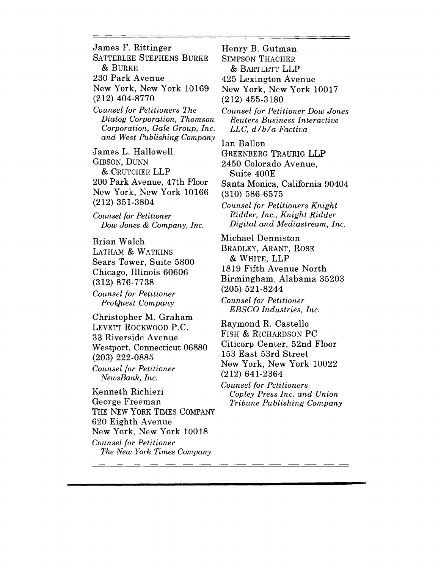James F. Rittinger SATTERLEE STEPHENS BURKE

**&** BURKE

230 Park Avenue

New York, New York 10169 (212) 404-8770

*Counsel for Petitioners The Dialog Corporation, Thomson Corporation, Gale Group, Inc. and West Publishing Company*

James L. Hallowell GIBSON, DUNN & CRUTCHER LLP 200 Park Avenue, 47th Floor New York, New York 10166 (212) 351-3804

*Counsel for Petitioner Dow Jones & Company, Inc.* 

Brian Walch LATHAM & WATKINS Sears Tower, Suite 5800 Chicago, Illinois 60606 (312) 876-7738 *Counsel for Petitioner ProQuest Company*

Christopher M. Graham LEVETT ROCKWOOD P.C. 33 Riverside Avenue Westport, Connecticut 06880 (203) 222-0885 *Counsel for Petitioner NewsBank, Inc.*

Kenneth Richieri George Freeman THE NEW YORK TIMES COMPANY 620 Eighth Avenue New York, New York 10018 *Counsel for Petitioner The New York Times Company*

(212) 455-3180 *Counsel for Petitioner Dow Jones .Reuters Business Interactive LLC, d/b/a Factiva* Ian Ballon GREENBERG TRAURIG LLP 2450 Colorado Avenue, Suite 400E Santa Monica, California 90404 (310) 586-6575 *Counsel for Petitioners Knight Ridder, lnc., Knight Ridder Digital and Mediastream, Inc.* Michael Denniston BRADLEY, ARANT, ROSE & WHITE, LLP 1819 Fifth Avenue North

New York, New York 10017

Birmingham, Alabama 35203

(205) 521-8244

Henry B. Gutman SIMPSON THACHER  $&$  BARTLETT LLP 425 Lexington Avenue

*Counsel for Petitioner EBSCO Industries, Inc.*

Raymond R. Castello FISH & RICHARDSON PC Citicorp Center, 52nd Floor 153 East 53rd Street New York, New York 10022 (212) 641-2364

*Counsel for Petitioners Copley Press Inc. and Union Tribune Publishing Company*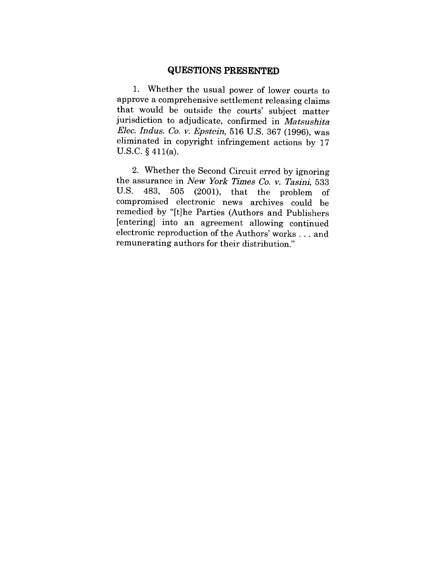## **QUESTIONS PRESENTED**

1. Whether the usual power of lower courts to approve a comprehensive settlement releasing claims that would be outside the courts' subject matter jurisdiction to adjudicate, confirmed in *Matsushita Elec. Indus. Co. y. Epsteln,* 516 U.S. 367 (1996), was eliminated in copyright infringement actions by 17 U.S.C. § 411(a).

2. Whether the Second Circuit erred by ignoring the assurance in *New York Times Co. v. Tasini,* 533 U.S.  $483$ ,  $505$   $(2001)$ , that the problem U.S. 483, 505 (2001), that the problem of compromised electronic news archives could be remedied by "[t]he Parties (Authors and Publishers [entering] into an agreement allowing continued electronic reproduction of the Authors' works... and remunerating authors for their distribution."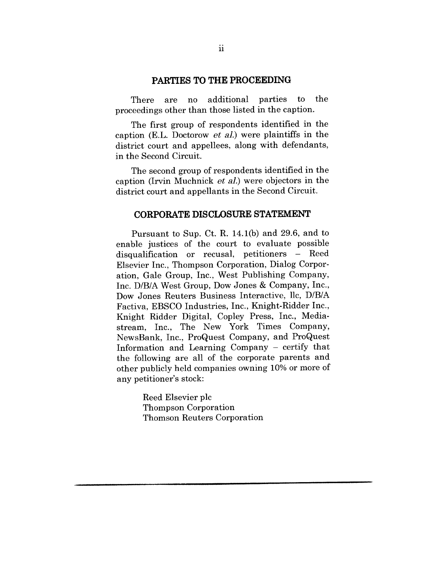#### **PARTIES TO THE PROCEEDING**

There are no additional parties to the proceedings other than those listed in the caption.

The first group of respondents identified in the caption (E.L. Doctorow *et al.*) were plaintiffs in the district court and appellees, along with defendants, in the Second Circuit.

The second group of respondents identified in the caption (Irvin Muchnick  $et$  al.) were objectors in the district court and appellants in the Second Circuit.

#### **CORPORATE DISCLOSURE STATEMENT**

Pursuant to Sup. Ct. R. 14.1(b) and 29.6, and to enable justices of the court to evaluate possible disqualification or recusal, petitioners - Reed Elsevier Inc., Thompson Corporation, Dialog Corporation, Gale Group, Inc., West Publishing Company, Inc. D/B/A West Group, Dow Jones & Company, Inc., Dow Jones Reuters Business Interactive, llc, D/B/A Factiva, EBSCO Industries, Inc., Knight-Ridder Inc., Knight Ridder Digital, Copley Press, Inc., Mediastream, Inc., The New York Times Company, NewsBank, Inc., ProQuest Company, and ProQuest Information and Learning Company - certify that the following are all of the corporate parents and other publicly held companies owning 10% or more of any petitioner's stock:

> Reed Elsevier plc Thompson Corporation Thomson Reuters Corporation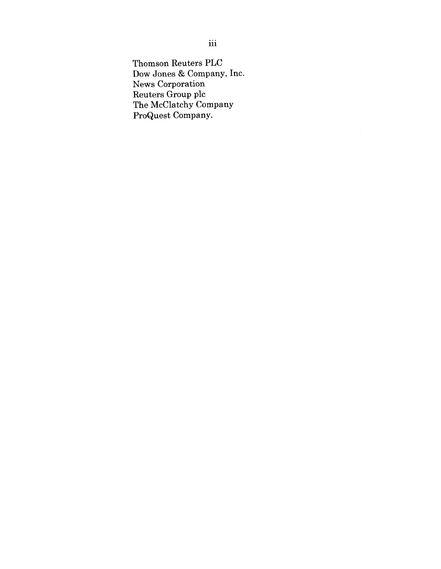Thomson Reuters PLC Dow Jones & Company, Inc. News Corporation Reuters Group plc The McClatchy Company ProQuest Company.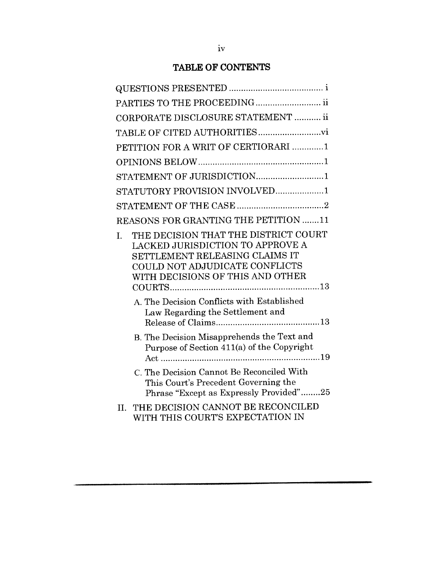# **TABLE OF CONTENTS**

| PARTIES TO THE PROCEEDING ii                                                                                                                                                                  |
|-----------------------------------------------------------------------------------------------------------------------------------------------------------------------------------------------|
| CORPORATE DISCLOSURE STATEMENT  ii                                                                                                                                                            |
|                                                                                                                                                                                               |
| PETITION FOR A WRIT OF CERTIORARI 1                                                                                                                                                           |
|                                                                                                                                                                                               |
|                                                                                                                                                                                               |
| STATUTORY PROVISION INVOLVED1                                                                                                                                                                 |
|                                                                                                                                                                                               |
| REASONS FOR GRANTING THE PETITION 11                                                                                                                                                          |
| THE DECISION THAT THE DISTRICT COURT<br>I.<br><b>LACKED JURISDICTION TO APPROVE A</b><br>SETTLEMENT RELEASING CLAIMS IT<br>COULD NOT ADJUDICATE CONFLICTS<br>WITH DECISIONS OF THIS AND OTHER |
| A. The Decision Conflicts with Established<br>Law Regarding the Settlement and                                                                                                                |
| B. The Decision Misapprehends the Text and<br>Purpose of Section 411(a) of the Copyright                                                                                                      |
| C. The Decision Cannot Be Reconciled With<br>This Court's Precedent Governing the<br>Phrase "Except as Expressly Provided"25                                                                  |
| THE DECISION CANNOT BE RECONCILED<br>H.<br>WITH THIS COURT'S EXPECTATION IN                                                                                                                   |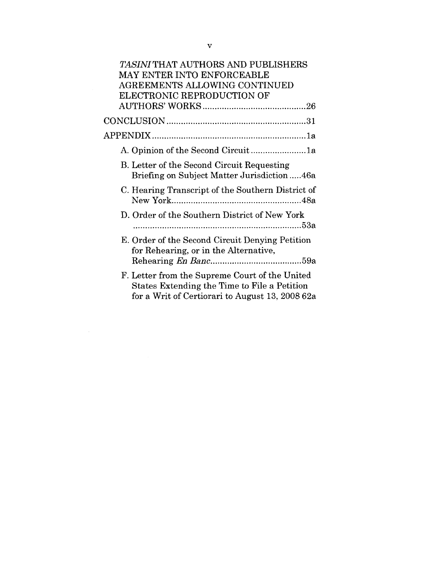| TASINI THAT AUTHORS AND PUBLISHERS                                                                                                                |  |
|---------------------------------------------------------------------------------------------------------------------------------------------------|--|
| MAY ENTER INTO ENFORCEABLE                                                                                                                        |  |
| AGREEMENTS ALLOWING CONTINUED                                                                                                                     |  |
| ELECTRONIC REPRODUCTION OF                                                                                                                        |  |
|                                                                                                                                                   |  |
|                                                                                                                                                   |  |
|                                                                                                                                                   |  |
| A. Opinion of the Second Circuit1a                                                                                                                |  |
| B. Letter of the Second Circuit Requesting<br>Briefing on Subject Matter Jurisdiction46a                                                          |  |
| C. Hearing Transcript of the Southern District of                                                                                                 |  |
| D. Order of the Southern District of New York                                                                                                     |  |
| E. Order of the Second Circuit Denying Petition<br>for Rehearing, or in the Alternative,                                                          |  |
|                                                                                                                                                   |  |
| F. Letter from the Supreme Court of the United<br>States Extending the Time to File a Petition<br>for a Writ of Certiorari to August 13, 2008 62a |  |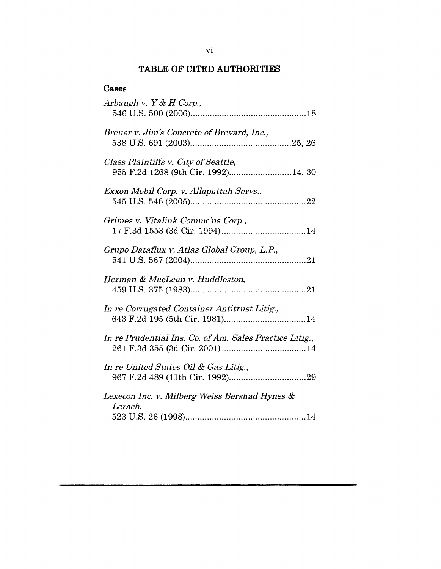## **TABLE OF CITED AUTHORITIES**

# **Cases**

| Arbaugh v. $Y & H$ Corp.,                                                   |
|-----------------------------------------------------------------------------|
| Breuer v. Jim's Concrete of Brevard, Inc.,                                  |
| Class Plaintiffs v. City of Seattle,<br>955 F.2d 1268 (9th Cir. 1992)14, 30 |
| Exxon Mobil Corp. v. Allapattah Servs.,                                     |
| Grimes v. Vitalink Comme'ns Corp.,                                          |
| Grupo Dataflux v. Atlas Global Group, L.P.,                                 |
| Herman & MacLean v. Huddleston,                                             |
| In re Corrugated Container Antitrust Litig.,                                |
| In re Prudential Ins. Co. of Am. Sales Practice Litig.,                     |
| In re United States Oil & Gas Litig.,                                       |
| Lexecon Inc. v. Milberg Weiss Bershad Hynes &<br>Lerach,                    |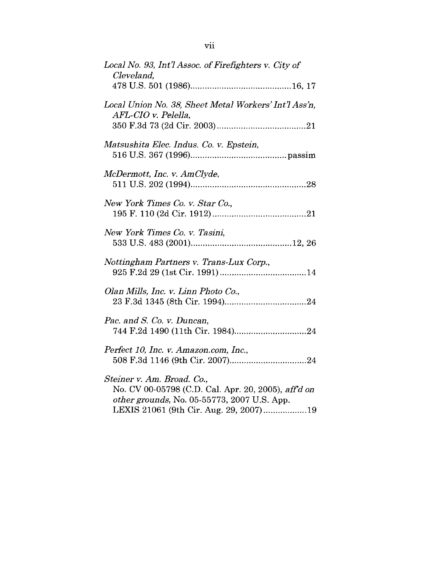| Local No. 93, Int'l Assoc. of Firefighters v. City of<br>Cleveland,                                                                                                        |
|----------------------------------------------------------------------------------------------------------------------------------------------------------------------------|
|                                                                                                                                                                            |
| Local Union No. 38, Sheet Metal Workers' Int'l Ass'n,<br>AFL-CIO v. Pelella,                                                                                               |
| Matsushita Elec. Indus. Co. v. Epstein,                                                                                                                                    |
| McDermott, Inc. v. AmClyde,                                                                                                                                                |
| New York Times Co. v. Star Co.,                                                                                                                                            |
| New York Times Co. v. Tasini,                                                                                                                                              |
| Nottingham Partners v. Trans-Lux Corp.,                                                                                                                                    |
| Olan Mills, Inc. v. Linn Photo Co.,                                                                                                                                        |
| Pac. and S. Co. v. Duncan,                                                                                                                                                 |
| Perfect 10, Inc. v. Amazon.com, Inc.,                                                                                                                                      |
| Steiner v. Am. Broad. Co.,<br>No. CV 00-05798 (C.D. Cal. Apr. 20, 2005), aff'd on<br>other grounds, No. 05-55773, 2007 U.S. App.<br>LEXIS 21061 (9th Cir. Aug. 29, 2007)19 |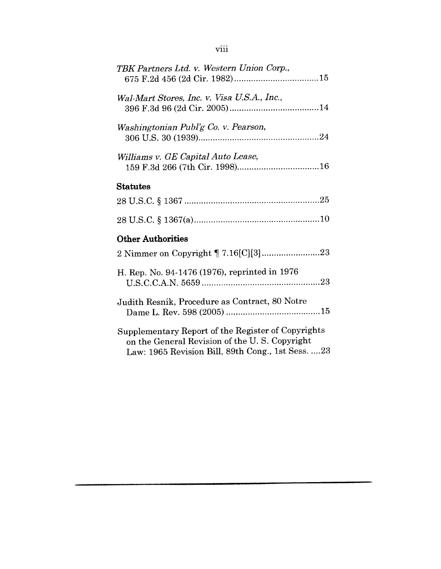| TBK Partners Ltd. v. Western Union Corp.,                                                                                                                 |
|-----------------------------------------------------------------------------------------------------------------------------------------------------------|
| Wal-Mart Stores, Inc. v. Visa U.S.A., Inc.,                                                                                                               |
| Washingtonian Publ'g Co. v. Pearson,                                                                                                                      |
| Williams v. GE Capital Auto Lease,                                                                                                                        |
| <b>Statutes</b>                                                                                                                                           |
|                                                                                                                                                           |
|                                                                                                                                                           |
| <b>Other Authorities</b>                                                                                                                                  |
|                                                                                                                                                           |
| H. Rep. No. 94-1476 (1976), reprinted in 1976                                                                                                             |
| Judith Resnik, Procedure as Contract, 80 Notre                                                                                                            |
| Supplementary Report of the Register of Copyrights<br>on the General Revision of the U.S. Copyright<br>Law: 1965 Revision Bill, 89th Cong., 1st Sess.  23 |

viii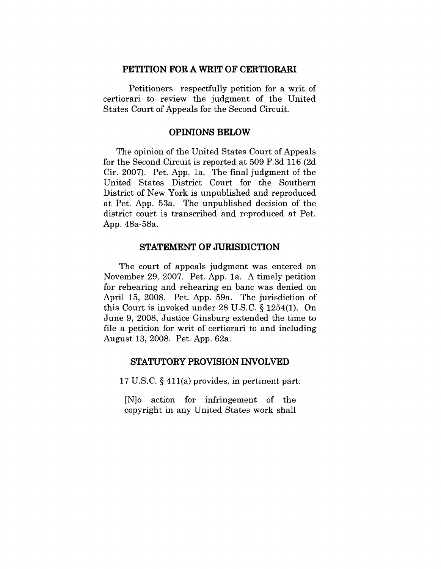#### **PETITION FOR A WRIT OF CERTIORARI**

Petitioners respectfully petition for a writ of certiorari to review the judgment of the United States Court of Appeals for the Second Circuit.

#### **OPINIONS BELOW**

The opinion of the United States Court of Appeals for the Second Circuit is reported at 509 F.3d 116 (2d Cir. 2007). Pet. App. la. The final judgment of the United States District Court for the Southern District of New York is unpublished and reproduced at Pet. App. 53a. The unpublished decision of the district court is transcribed and reproduced at Pet. App. 48a-58a.

#### **STATEMENT OF JURISDICTION**

The court of appeals judgment was entered on November 29, 2007. Pet. App. la. A timely petition for rehearing and rehearing en banc was denied on April 15, 2008. Pet. App. 59a. The jurisdiction of this Court is invoked under 28 U.S.C. § 1254(1). On June 9, 2008, Justice Ginsburg extended the time to file a petition for writ of certiorari to and including August 13, 2008. Pet. App. 62a.

### **STATUTORY PROVISION INVOLVED**

17 U.S.C. § 411(a) provides, in pertinent part:

[N]o action for infringement of the copyright in any United States work shall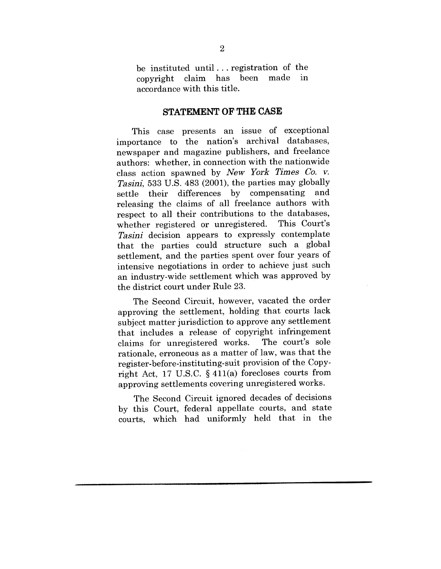be instituted until... registration of the<br>convright claim has been made in copyright claim has accordance with this title.

#### **STATEMENT OF THE CASE**

This case presents an issue of exceptional importance to the nation's archival databases, newspaper and magazine publishers, and freelance authors: whether, in connection with the nationwide class action spawned by *New York Times Co. v. Tasini,* 533 U.S. 483 (2001), the parties may globally settle their differences by compensating and releasing the claims of all freelance authors with respect to all their contributions to the databases, whether registered or unregistered. This Court's *Tasini* decision appears to expressly contemplate that the parties could structure such a global settlement, and the parties spent over four years of intensive negotiations in order to achieve just such an industry-wide settlement which was approved by the district court under Rule 23.

The Second Circuit, however, vacated the order approving the settlement, holding that courts lack subject matter jurisdiction to approve any settlement that includes a release of copyright infringement claims for unregistered works. The court's sole claims for unregistered works. rationale, erroneous as a matter of law, was that the register-before-instituting-suit provision of the Copyright Act, 17 U.S.C. § 411(a) forecloses courts from approving settlements covering unregistered works.

The Second Circuit ignored decades of decisions by this Court, federal appellate courts, and state courts, which had uniformly held that in the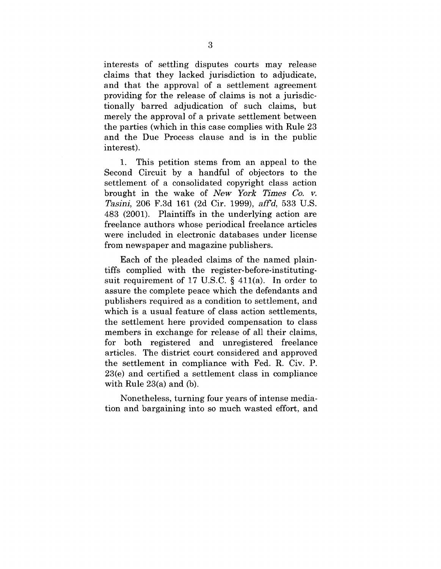interests of settling disputes courts may release claims that they lacked jurisdiction to adjudicate, and that the approval of a settlement agreement providing for the release of claims is not a jurisdictionally barred adjudication of such claims, but merely the approval of a private settlement between the parties (which in this case complies with Rule 23 and the Due Process clause and is in the public interest).

1. This petition stems from an appeal to the Second Circuit by a handful of objectors to the settlement of a consolidated copyright class action brought in the wake of *New York Times Co. v. Tasini*, 206 F.3d 161 (2d Cir. 1999), *aff'd*, 533 U.S. 483 (2001). Plaintiffs in the underlying action are freelance authors whose periodical freelance articles were included in electronic databases under license from newspaper and magazine publishers.

Each of the pleaded claims of the named plaintiffs complied with the register-before-institutingsuit requirement of 17 U.S.C. § 411(a). In order to assure the complete peace which the defendants and publishers required as a condition to settlement, and which is a usual feature of class action settlements, the settlement here provided compensation to class members in exchange for release of all their claims, for both registered and unregistered freelance articles. The district court considered and approved the settlement in compliance with Fed. R. Civ. P. 23(e) and certified a settlement class in compliance with Rule 23(a) and (b).

Nonetheless, turning four years of intense mediation and bargaining into so much wasted effort, and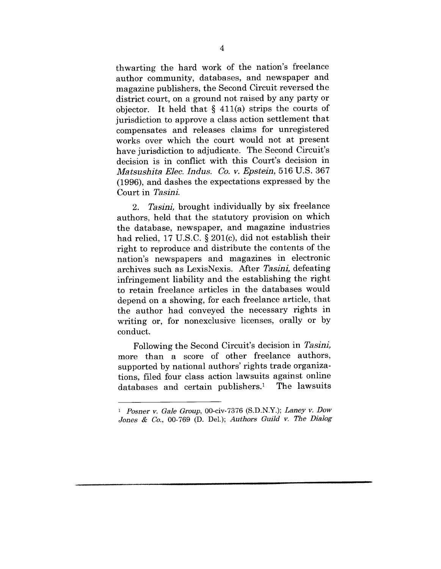thwarting the hard work of the nation's freelance author community, databases, and newspaper and magazine publishers, the Second Circuit reversed the district court, on a ground not raised by any party or objector. It held that  $\S$  411(a) strips the courts of jurisdiction to approve a class action settlement that compensates and releases claims for unregistered works over which the court would not at present have jurisdiction to adjudicate. The Second Circuit's decision is in conflict with this Court's decision in *Matsushit~ Elec. Indus. Co. v. Epstein,* 516 U.S. 367 (1996), and dashes the expectations expressed by the Court in *Tasini*.

2. Tasini, brought individually by six freelance authors, held that the statutory provision on which the database, newspaper, and magazine industries had relied, 17 U.S.C. § 201(c), did not establish their right to reproduce and distribute the contents of the nation's newspapers and magazines in electronic archives such as LexisNexis. After *Tasini*, defeating infringement liability and the establishing the right to retain freelance articles in the databases would depend on a showing, for each freelance article, that the author had conveyed the necessary rights in writing or, for nonexclusive licenses, orally or by conduct.

Following the Second Circuit's decision in *Tasini*, more than a score of other freelance authors, supported by national authors' rights trade organizations, filed four class action lawsuits against online databases and certain publishers.<sup>1</sup> The lawsuits

*<sup>1</sup> Posner y. Gale Group,* 00-civ-7376 (S.D.N.Y.); *Laney go Dow Jones & Co., 00-769 (D. Del.); Authors Guild v. The Dialog*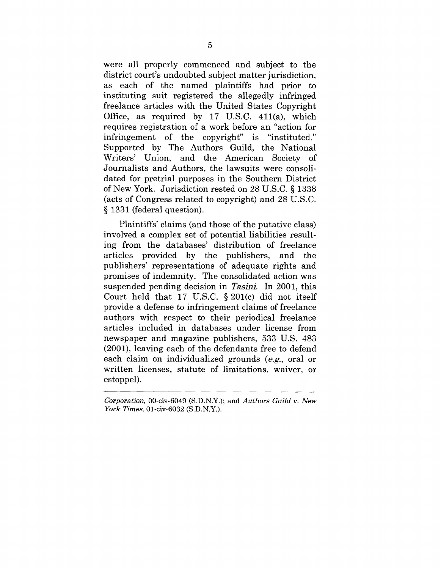were all properly commenced and subject to the district court's undoubted subject matter jurisdiction, as each of the named plaintiffs had prior to instituting suit registered the allegedly infringed freelance articles with the United States Copyright Office, as required by 17 U.S.C. 411(a), which requires registration of a work before an "action for infringement of the copyright" is "instituted." Supported by The Authors Guild, the National Writers' Union, and the American Society of Journalists and Authors, the lawsuits were consolidated for pretrial purposes in the Southern District of New York. Jurisdiction rested on 28 U.S.C. § 1338 (acts of Congress related to copyright) and 28 U.S.C. § 1331 (federal question).

Plaintiffs' claims (and those of the putative class) involved a complex set of potential liabilities resulting from the databases' distribution of freelance articles provided by the publishers, and the publishers' representations of adequate rights and promises of indemnity. The consolidated action was suspended pending decision in *Tasini*. In 2001, this Court held that 17 U.S.C. § 201(c) did not itself provide a defense to infringement claims of freelance authors with respect to their periodical freelance articles included in databases under license from newspaper and magazine publishers, 533 U.S. 483 (2001), leaving each of the defendants free to defend each claim on individualized grounds (e.g., oral or written licenses, statute of limitations, waiver, or estoppel).

*Corporation,* 00-civ-6049 (S.D.N.Y.); and *Authors Guild v. New York Times,* 01-civ-6032 (S.D.N.Y.).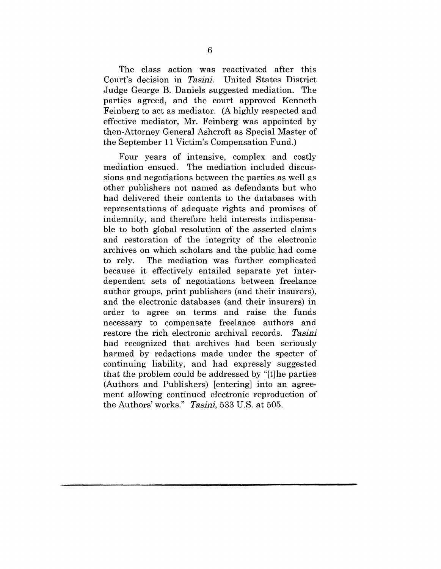The class action was reactivated after this<br>int's decision in Tasini. United States District Court's decision in Tasini. Judge George B. Daniels suggested mediation. The parties agreed, and the court approved Kenneth Feinberg to act as mediator. (A highly respected and effective mediator, Mr. Feinberg was appointed by then-Attorney General Ashcroft as Special Master of the September 11 Victim's Compensation Fund.)

Four years of intensive, complex and costly mediation ensued. The mediation included discussions and negotiations between the parties as well as other publishers not named as defendants but who had delivered their contents to the databases with representations of adequate rights and promises of indemnity, and therefore held interests indispensable to both global resolution of the asserted claims and restoration of the integrity of the electronic archives on which scholars and the public had come to rely. The mediation was further complicated because it effectively entailed separate yet interdependent sets of negotiations between freelance author groups, print publishers (and their insurers), and the electronic databases (and their insurers) in order to agree on terms and raise the funds necessary to compensate freelance authors and restore the rich electronic archival records. Tasini had recognized that archives had been seriously harmed by redactions made under the specter of continuing liability, and had expressly suggested that the problem could be addressed by "[t]he parties (Authors and Publishers) [entering] into an agreement allowing continued electronic reproduction of the Authors' works." Tasini, 533 U.S. at 505.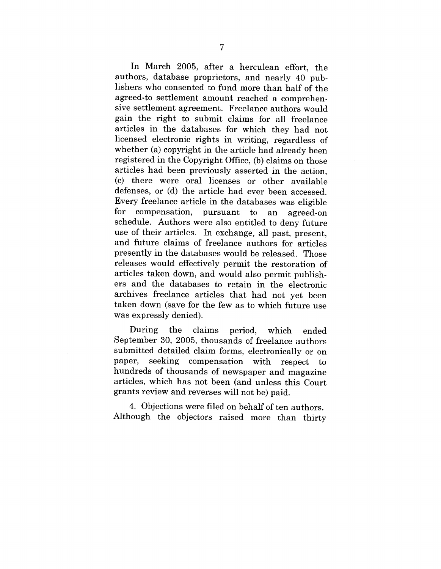In March 2005, after a herculean effort, the authors, database proprietors, and nearly 40 publishers who consented to fund more than half of the agreed-to settlement amount reached a comprehensive settlement agreement. Freelance authors would gain the right to submit claims for all freelance articles in the databases for which they had not licensed electronic rights in writing, regardless of whether (a) copyright in the article had already been registered in the Copyright Office, (b) claims on those articles had been previously asserted in the action, (c) there were oral licenses or other available defenses, or (d) the article had ever been accessed. Every freelance article in the databases was eligible for compensation, pursuant to an agreed-on schedule. Authors were also entitled to deny future use of their articles. In exchange, all past, present, and future claims of freelance authors for articles presently in the databases would be released. Those releases would effectively permit the restoration of articles taken down, and would also permit publishers and the databases to retain in the electronic archives freelance articles that had not yet been taken down (save for the few as to which future use was expressly denied).

During the claims period, which ended September 30, 2005, thousands of freelance authors submitted detailed claim forms, electronically or on paper, seeking compensation with respect to hundreds of thousands of newspaper and magazine articles, which has not been (and unless this Court grants review and reverses will not be) paid.

4. Objections were filed on behalf of ten authors. Although the objectors raised more than thirty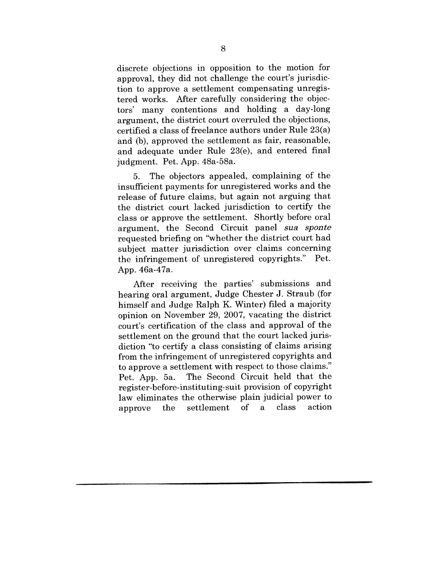discrete objections in opposition to the motion for approval, they did not challenge the court's jurisdiction to approve a settlement compensating unregistered works. After carefully considering the objectors' many contentions and holding a day-long argument, the district court overruled the objections, certified a class of freelance authors under Rule 23(a) and (b), approved the settlement as fair, reasonable, and adequate under Rule 23(e), and entered final judgment. Pet. App. 48a-58a.

5. The objectors appealed, complaining of the insufficient payments for unregistered works and the release of future claims, but again not arguing that the district court lacked jurisdiction to certify the class or approve the settlement. Shortly before oral argument, the Second Circuit panel *sua sponte* requested briefing on "whether the district court had subject matter jurisdiction over claims concerning the infringement of unregistered copyrights." Pet. App. 46a-47a.

After receiving the parties' submissions and hearing oral argument, Judge Chester J. Straub (for himself and Judge Ralph K. Winter) filed a majority opinion on November 29, 2007, vacating the district court's certification of the class and approval of the settlement on the ground that the court lacked jurisdiction "to certify a class consisting of claims arising from the infringement of unregistered copyrights and to approve a settlement with respect to those claims." Pet. App. 5a. The Second Circuit held that the register-before-instituting-suit provision of copyright law eliminates the otherwise plain judicial power to approve the settlement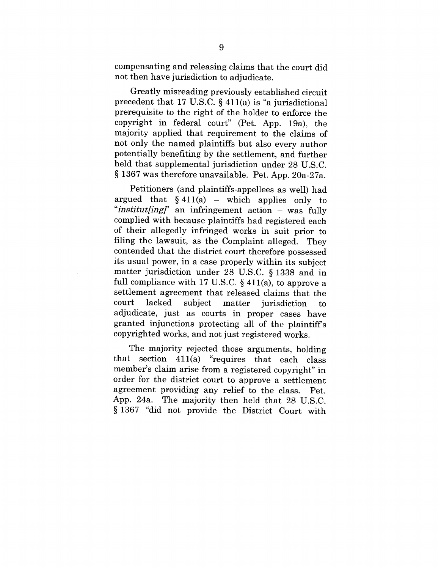compensating and releasing claims that the court did not then have jurisdiction to adjudicate.

Greatly misreading previously established circuit precedent that 17 U.S.C.  $\S$  411(a) is "a jurisdictional prerequisite to the right of the holder to enforce the copyright in federal court" (Pet. App. 19a), the majority applied that requirement to the claims of not only the named plaintiffs but also every author potentially benefiting by the settlement, and further held that supplemental jurisdiction under 28 U.S.C. § 1367 was therefore unavailable. Pet. App. 20a-27a.

Petitioners (and plaintiffs-appellees as well) had argued that  $§$  411(a) – which applies only to "*institut[ing]*" an infringement action – was fully complied with because plaintiffs had registered each of their allegedly infringed works in suit prior to filing the lawsuit, as the Complaint alleged. They contended that the district court therefore possessed its usual power, in a case properly within its subject matter jurisdiction under 28 U.S.C. § 1338 and in full compliance with 17 U.S.C.  $\S$  411(a), to approve a settlement agreement that released claims that the court lacked subject matter court lacked subject matter jurisdiction to<br>adjudicate, just as courts in proper cases have granted injunctions protecting all of the plaintiffs copyrighted works, and not just registered works.

The majority rejected those arguments, holding that section 411(a) "requires that each class member's claim arise from a registered copyright" in order for the district court to approve a settlement agreement providing any relief to the class. Pet. App. 24a. The majority then held that 28 U.S.C. § 1367 "did not provide the District Court with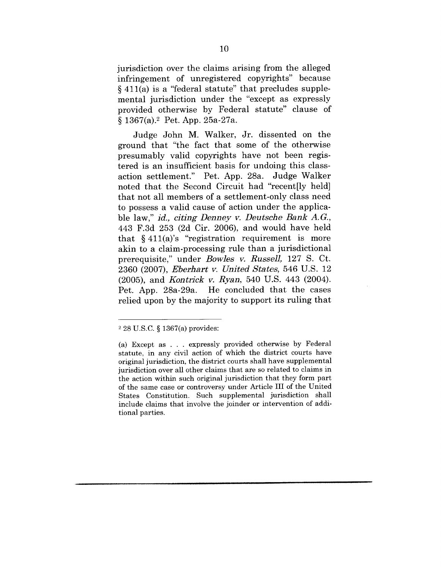jurisdiction over the claims arising from the alleged infringement of unregistered copyrights" because § 411(a) is a "federal statute" that precludes supplemental jurisdiction under the "except as expressly provided otherwise by Federal statute" clause of § 1367(a).2 Pet. App. 25a-27a.

Judge John M. Walker, Jr. dissented on the ground that "the fact that some of the otherwise presumably valid copyrights have not been registered is an insufficient basis for undoing this classaction settlement." Pet. App. 28a. Judge Walker noted that the Second Circuit had "recent[ly held] that not all members of a settlement-only class need to possess a valid cause of action under the applicable law," *id., citing Denney v. Deutsche Bank A.G.,* 443 F.3d 253 (2d Cir. 2006), and would have held that  $§$  411(a)'s "registration requirement is more akin to a claim-processing rule than a jurisdictional prerequisite," under *Bowles v. Russell,* 127 S. Ct. 2360 (2007), *Eberhart v. United States,* 546 U.S. 12 (2005), and *Kontriek v. Ryan,* 540 U.S. 443 (2004). Pet. App. 28a-29a. He concluded that the eases relied upon by the majority to support its ruling that

<sup>2 28</sup> U.S.C. § 1367(a) provides:

<sup>(</sup>a) Except as . . . expressly provided otherwise by Federal statute, in any civil action of which the district courts have original jurisdiction, the district courts shall have supplemental jurisdiction over all other claims that are so related to claims in the action within such original jurisdiction that they form part of the same case or controversy under Article III of the United States Constitution. Such supplemental jurisdiction shall include claims that involve the joinder or intervention of additional parties.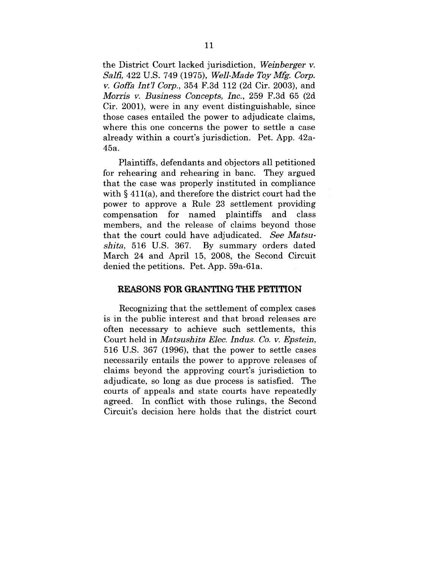the District Court lacked jurisdiction, *Weinberger v. Sslti,* 422 U.S. 749 (1975), *Well-Made Toy Mfg. Corp. v. Goffa Int'] Corp.,* 354 F.3d 112 (2d Cir. 2003), and *Morris v. Business Concepts, Inc.,* 259 F.3d 65 (2d Cir. 2001), were in any event distinguishable, since those cases entailed the power to adjudicate claims, where this one concerns the power to settle a case already within a court's jurisdiction. Pet. App. 42a-45a.

Plaintiffs, defendants and objectors all petitioned for rehearing and rehearing in banc. They argued that the case was properly instituted in compliance with § 411(a), and therefore the district court had the power to approve a Rule 23 settlement providing compensation for named plaintiffs and class members, and the release of claims beyond those that the court could have adjudicated. See Matsu*shits,* 516 U.S. 367. By summary orders dated March 24 and April 15, 2008, the Second Circuit denied the petitions. Pet. App. 59a-61a.

#### **REASONS FOR GRANTING THE PETITION**

Recognizing that the settlement of complex cases is in the public interest and that broad releases are often necessary to achieve such settlements, this Court held in *Mstsushita EIoc. Indus. Co. v. Epstein,* 516 U.S. 367 (1996), that the power to settle cases necessarily entails the power to approve releases of claims beyond the approving court's jurisdiction to adjudicate, so long as due process is satisfied. The courts of appeals and state courts have repeatedly agreed. In conflict with those rulings, the Second Circuit's decision here holds that the district court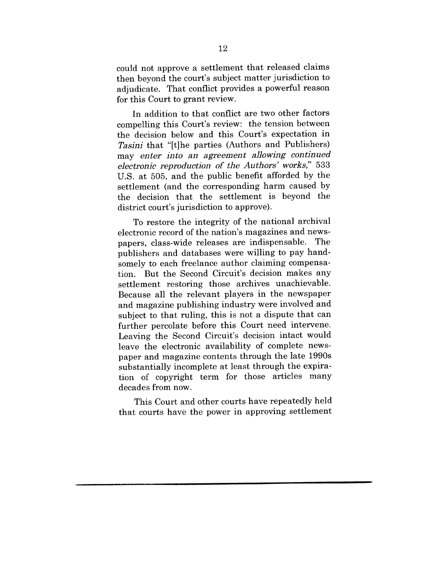could not approve a settlement that released claims then beyond the court's subject matter jurisdiction to adjudicate. That conflict provides a powerful reason for this Court to grant review.

In addition to that conflict are two other factors compelling this Court's review: the tension between the decision below and this Court's expectation in *Tasini* that "[t]he parties (Authors and Publishers) may *enter into an agreement allowing continued electronic reproduction of the Authors" works,"* 533 U.S. at 505, and the public benefit afforded by the settlement (and the corresponding harm caused by the decision that the settlement is beyond the district court's jurisdiction to approve),

To restore the integrity of the national archival electronic record of the nation's magazines and newspapers, class-wide releases are indispensable. The publishers and databases were willing to pay handsomely to each freelance author claiming compensation. But the Second Circuit's decision makes any settlement restoring those archives unachievable. Because all the relevant players in the newspaper and magazine publishing industry were involved and subject to that ruling, this is not a dispute that can further percolate before this. Court need intervene. Leaving the Second Circuit's decision intact would leave the electronic availability of complete newspaper and magazine contents through the late 1990s substantially incomplete at least through the expiration of copyright term for those articles many decades from now.

This Court and other courts have repeatedly held that courts have the power in approving settlement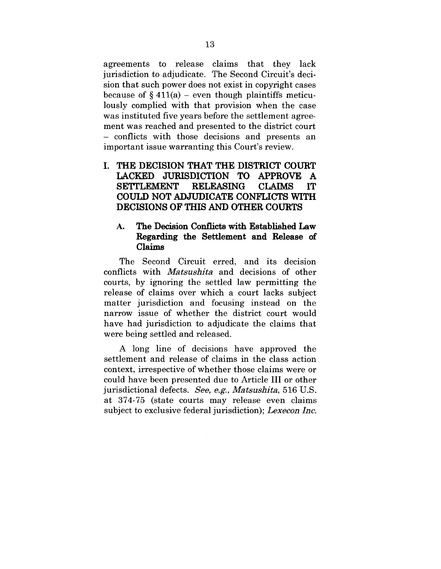agreements to release claims that they lack jurisdiction to adjudicate. The Second Circuit's decision that such power does not exist in copyright cases because of  $\S 411(a)$  – even though plaintiffs meticulously complied with that provision when the case was instituted five years before the settlement agreement was reached and presented to the district court - conflicts with those decisions and presents an important issue warranting this Court's review.

## **THE DECISION THAT THE DISTRICT COURT LACKED JURISDICTION TO APPROVE A SETTLEMENT RELEASING CLAIMS IT COULD NOT ADJUDICATE CONFLICTS WITH DECISIONS OF THIS AND OTHER COURTS**

## **A. The Decision Conflicts with Established Law Regarding the Settlement and Release of Claims**

The Second Circuit erred, and its decision conflicts with *Matsushita* and decisions of other courts, by ignoring the settled law permitting the release of claims over which a court lacks subject matter jurisdiction and focusing instead on the narrow issue of whether the district court would have had jurisdiction to adjudicate the claims that were being settled and released.

A long line of decisions have approved the settlement and release of claims in the class action context, irrespective of whether those claims were or could have been presented due to Article III or other jurisdictional defects. See, e.g., *Matsushita*, 516 U.S. at 374-75 (state courts may release even claims subject to exclusive federal jurisdiction); *Lexecon Inc.*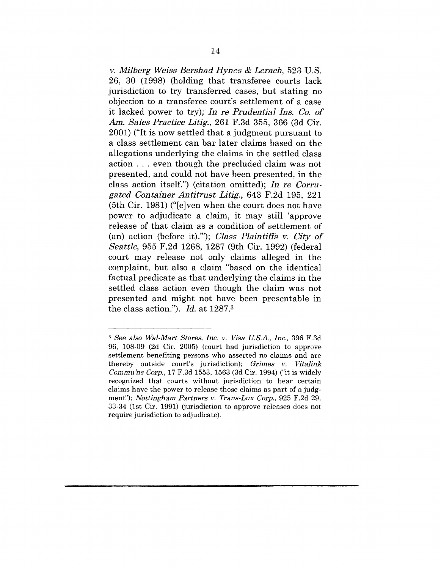*y. Milberg Weiss Bershad Hynes & Lerach,* 523 U.S. 26, 30 (1998) (holding that transferee courts lack jurisdiction to try transferred cases, but stating no objection to a transferee court's settlement of a case it lacked power to try); *In re Prudential Ins. Co. of Am. Sales Practice Litig.,* 261 F.3d 355, 366 (3d Cir. 2001) ("It is now settled that a judgment pursuant to a class settlement can bar later claims based on the allegations underlying the claims in the settled class action . . . even though the precluded claim was not presented, and could not have been presented, in the class action itself.") (citation omitted); *In re Corrugated Container Antitrust Litig.,* 643 F.2d 195, 221 (5th Cir. 1981) ("[e]ven when the court does not have power to adjudicate a claim, it may still 'approve release of that claim as a condition of settlement of (an) action (before it).""); *Class Plaintiffs v. City of Seattle,* 955 F.2d 1268, 1287 (9th Cir. 1992) (federal court may release not only claims alleged in the complaint, but also a claim "based on the identical factual predicate as that underlying the claims in the settled class action even though the claim was not presented and might not have been presentable in the class action."). *Id.* at 1287.3

*<sup>3</sup> See also Wal-Mart Stores, Inc. y. Visa U.S.A., Inc.,* 396 F.3d 96, 108-09 (2d Cir. 2005) (court had jurisdiction to approve settlement benefiting persons who asserted no claims and are thereby outside court's jurisdiction); *Grimes y. Vitallnk Commu'ns Corp.,* 17 F.3d 1553, 1563 (3d Cir. 1994) ("it is widely recognized that courts without jurisdiction to hear certain claims have the power to release those claims as part of a judgment"); *Nottingham Partners y. Trans-Lux Corp.,* 925 F.2d 29, 33-34 (1st Cir. 1991) (jurisdiction to approve releases does not require jurisdiction to adjudicate).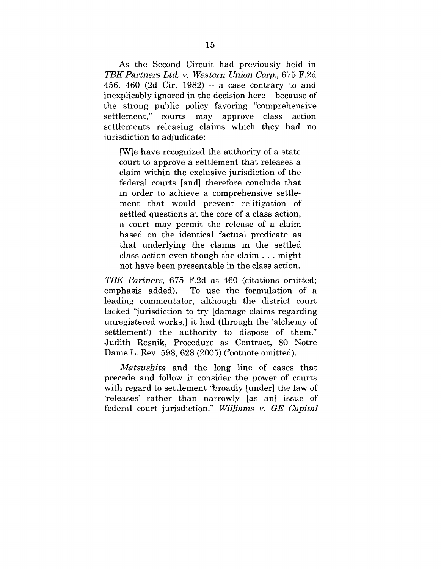As the Second Circuit had previously held in *TBK Partners Ltd. y. Western Union Corp.,* 675 F.2d 456, 460 (2d Cir. 1982)  $-$  a case contrary to and inexplicably ignored in the decision here - because of the strong public policy favoring "comprehensive settlement," courts may approve class action settlements releasing claims which they had no jurisdiction to adjudicate:

[W]e have recognized the authority of a state court to approve a settlement that releases a claim within the exclusive jurisdiction of the federal courts [and] therefore conclude that in order to achieve a comprehensive settlement that would prevent relitigation of settled questions at the core of a class action, a court may permit the release of a claim based on the identical factual predicate as that underlying the claims in the settled class action even though the claim.., might not have been presentable in the class action.

*TBK Partners,* 675 F.2d at 460 (citations omitted; To use the formulation of a leading commentator, although the district court lacked "jurisdiction to try [damage claims regarding unregistered works,] it had (through the 'alchemy of settlement') the authority to dispose of them." Judith Resnik, Procedure as Contract, 80 Notre Dame L. Rev. 598, 628 (2005) (footnote omitted).

*Matsushita* and the long line of cases that precede and follow it consider the power of courts with regard to settlement "broadly [under] the law of 'releases' rather than narrowly [as an] issue of federal court jurisdiction." *Wllliams y. GE Capital*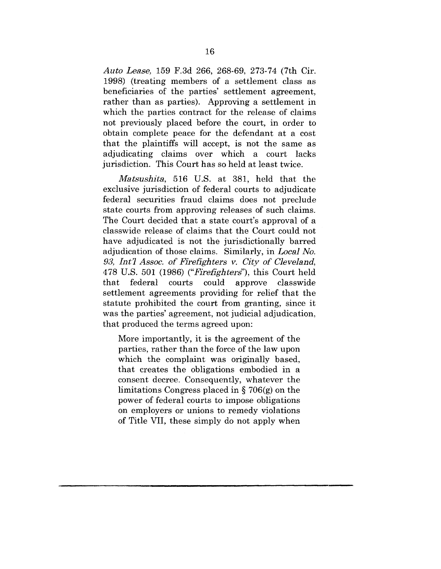*Auto Lease,* 159 F.3d 266, 268-69, 273-74 (7th Cir. 1998) (treating members of a settlement class as beneficiaries of the parties' settlement agreement, rather than as parties). Approving a settlement in which the parties contract for the release of claims not previously placed before the court, in order to obtain complete peace for the defendant at a cost that the plaintiffs will accept, is not the same as adjudicating claims over which a court lacks jurisdiction. This Court has so held at least twice.

*Matsushita,* 516 U.S. at 381, held that the exclusive jurisdiction of federal courts to adjudicate federal securities fraud claims does not preclude state courts from approving releases of such claims. The Court decided that a state court's approval of a classwide release of claims that the Court could not have adjudicated is not the jurisdictionally barred adjudication of those claims. Similarly, in *Local No. 93, Int7 Assoc. of Firefighters v. City of Cleveland,* 478 U.S. 501 (1986) *("Firefighterd'),* this Court held that federal courts could approve elasswide settlement agreements providing for relief that the statute prohibited the court from granting, since it was the parties' agreement, not judicial adjudication, that produced the terms agreed upon:

More importantly, it is the agreement of the parties, rather than the force of the law upon which the complaint was originally based, that creates the obligations embodied in a consent decree. Consequently, whatever the limitations Congress placed in § 706(g) on the power of federal courts to impose obligations on employers or unions to remedy violations of Title VII, these simply do not apply when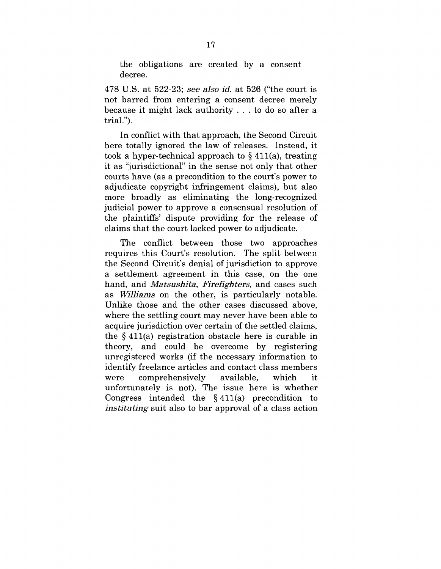the obligations are created by a consent decree.

478 U.S. at 522-23; see *also id.* at 526 ("the court is not barred from entering a consent decree merely because it might lack authority . . . to do so after a trial.").

In conflict with that approach, the Second Circuit here totally ignored the law of releases. Instead, it took a hyper-technical approach to  $\S$  411(a), treating it as "jurisdictional" in the sense not only that other courts have (as a precondition to the court's power to adjudicate copyright infringement claims), but also more broadly as eliminating the long-recognized judicial power to approve a consensual resolution of the plaintiffs' dispute providing for the release of claims that the court lacked power to adjudicate.

The conflict between those two approaches requires this Court's resolution. The split between the Second Circuit's denial of jurisdiction to approve a settlement agreement in this case, on the one hand, and *Matsushita, Firefighters,* and cases such as *Williams* on the other, is particularly notable. Unlike those and the other cases discussed above, where the settling court may never have been able to acquire jurisdiction over certain of the settled claims, the § 411(a) registration obstacle here is curable in theory, and could be overcome by registering unregistered works (if the necessary information to identify freelance articles and contact class members were comprehensively available, which it. unfortunately is not). The issue here is whether Congress intended the  $§ 411(a)$  precondition to *instituting* suit also to bar approval of a class action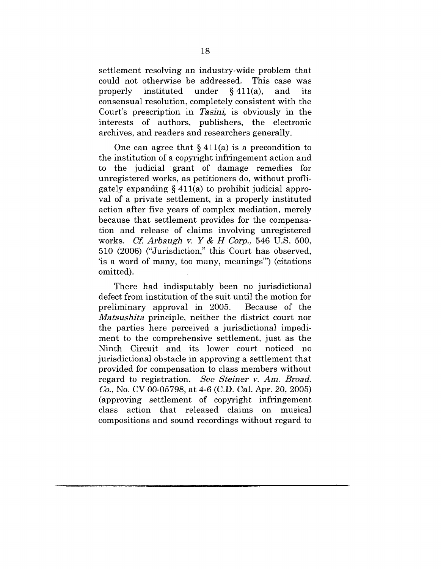settlement resolving an industry-wide problem that could not otherwise be addressed. This case was properly instituted under  $§ 411(a)$ , and its consensual resolution, completely consistent with the Court's prescription in *Tasini,* is obviously in the interests of authors, publishers, the electronic archives, and readers and researchers generally.

One can agree that  $\S 411(a)$  is a precondition to the institution of a copyright infringement action and to the judicial grant of damage remedies for unregistered works, as petitioners do, without profligately expanding § 411(a) to prohibit judicial approval of a private settlement, in a properly instituted action after five years of complex mediation, merely because that settlement provides for the compensation and release of claims involving unregistered works. *Cf. Arbaugh y. Y & H Corp.,* 546 U.S. 500, 510 (2006) ("Jurisdiction," this Court has observed, 'is a word of many, too many, meanings'") (citations omitted).

There had indisputably been no jurisdictional defect from institution of the suit until the motion for preliminary approval in 2005. Because of the *Matsu~hita* principle, neither the district court nor the parties here perceived a jurisdictional impediment to the comprehensive settlement, just as the Ninth Circuit and its lower court noticed no jurisdictional obstacle in approving a settlement that provided for compensation to class members without regard to registration. *See Steiner v. Am. Broad. Co.,* No. CV 00-05798, at 4-6 (C.D. Cal. Apr. 20, 2005) (approving settlement of copyright infringement class action that released claims on musical compositions and sound recordings without regard to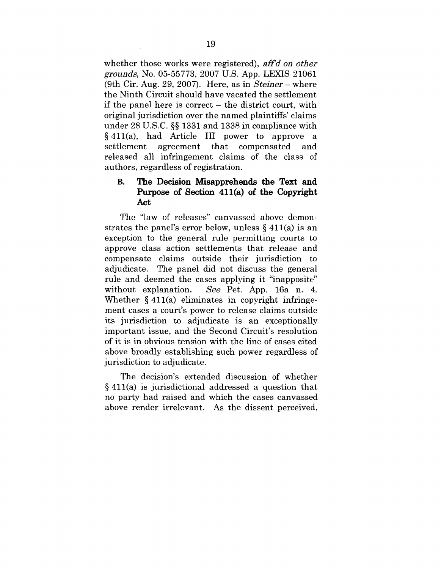whether those works were registered), *aft"d on other grounds,* No. 05-55773, 2007 U.S. App. LEXIS 21061 (gth Cir. Aug. 29, 2007). Here, as in *Steiner-* where the Ninth Circuit should have vacated the settlement if the panel here is correct  $-$  the district court, with original jurisdiction over the named plaintiffs' claims under 28 U.S.C. §§ 1331 and 1338 in compliance with §411(a), had Article III power to approve a settlement agreement that compensated and released all infringement claims of the class of authors, regardless of registration.

## **B. The Decision Misapprehends the Text and Purpose of Section** 411(a) of **the Copyright Act**

The "law of releases" canvassed above demonstrates the panel's error below, unless  $\S 411(a)$  is an exception to the general rule permitting courts to approve class action settlements that release and compensate claims outside their jurisdiction to adjudicate. The panel did not discuss the general rule and deemed the cases applying it "inapposite" without explanation. See Pet. App. 16a n. 4. Whether § 411(a) eliminates in copyright infringement cases a court's power to release claims outside its jurisdiction to adjudicate is an exceptionally important issue, and the Second Circuit's resolution of it is in obvious tension with the line of cases cited above broadly establishing such power regardless of jurisdiction to adjudicate.

The decision's extended discussion of whether § 411(a) is jurisdictional addressed a question that no party had raised and which the cases canvassed above render irrelevant. As the dissent perceived.,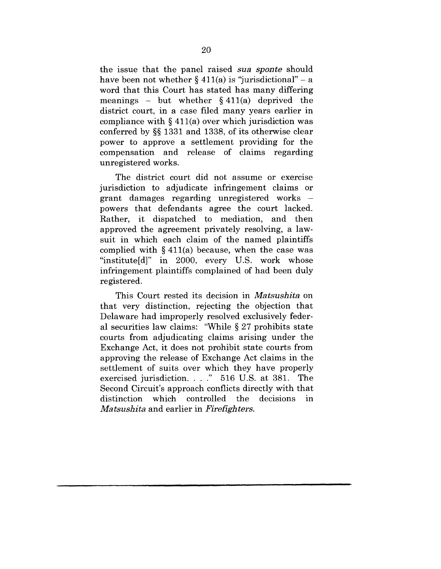the issue that the panel raised sua *sponte* should have been not whether  $\S 411(a)$  is "jurisdictional" – a word that this Court has stated has many differing meanings – but whether  $§$  411(a) deprived the district court, in a case filed many years earlier in compliance with  $\S 411(a)$  over which jurisdiction was conferred by §§ 1331 and 1338, of its otherwise clear power to approve a settlement providing for the compensation and release of claims regarding unregistered works.

The district court did not assume or exercise jurisdiction to adjudicate infringement claims or grant damages regarding unregistered works powers that defendants agree the court lacked. Rather, it dispatched to mediation, and then approved the agreement privately resolving, a lawsuit in which each claim of the named plaintiffs complied with  $\S 411(a)$  because, when the case was "institute[d]" in 2000, every U.S. work whose infringement plaintiffs complained of had been duly registered.

This Court rested its decision in *Matsushita* on that very distinction, rejecting the objection that Delaware had improperly resolved exclusively federal securities law claims: "While § 27 prohibits state courts from adjudicating claims arising under the Exchange Act, it does not prohibit state courts from approving the release of Exchange Act claims in the settlement of suits over which they have properly exercised jurisdiction. . . ." 516 U.S. at 381. The Second Circuit's approach conflicts directly with that distinction which controlled the decisions in *Matsushita* and earlier in *Firefighters.*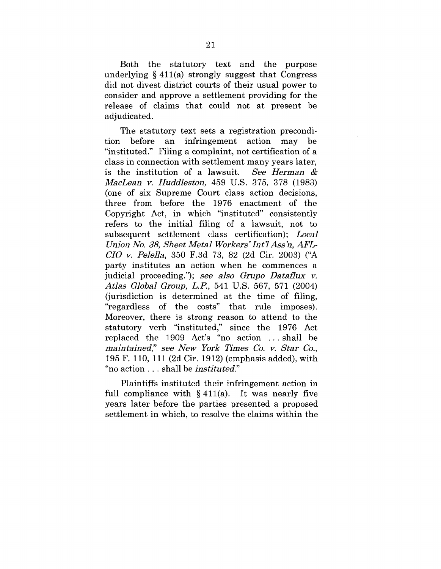Both the statutory text and the purpose underlying § 411(a) strongly suggest that Congress did not divest district courts of their usual power to consider and approve a settlement providing for the release of claims that could not at present be adjudicated.

The statutory text sets a registration precondition before an infringement action may be "instituted." Filing a complaint, not certification of a class in connection with settlement many years later, is the institution of a lawsuit. *See Herman & MacLean y. Huddleston,* 459 U.S. 375, 378 (1983) (one of six Supreme Court class action decisions, three from before the 1976 enactment of the Copyright Act, in which "instituted" consistently refers to the initial filing of a lawsuit, not to subsequent settlement class certification); *Local Union No. 38, Sheet Metal Workers' Int 7 Ass'n, AFL-CIO v. Pelella,* 350 F.3d 73, 82 (2d Cir. 2003) ("A party institutes an action when he commences a judicial proceeding."); see *also Grupo Datatlux v. Atlas Global Group, L.P.,* 541 U.S. 567, 571 (2004) (jurisdiction is determined at the time of filing, "regardless of the costs" that rule imposes). Moreover, there is strong reason to attend to the statutory verb "instituted," since the 1976 Act replaced the 1909 Act's "no action ... shall be *maintained,"* see *New York Times Co. v. Star Co.,* 195 F. 110, 111 (2d Cir. 1912) (emphasis added), with "no action.., shall be *instituted."*

Plaintiffs instituted their infringement action in full compliance with  $\S 411(a)$ . It was nearly five years later before the parties presented a proposed settlement in which, to resolve the claims within the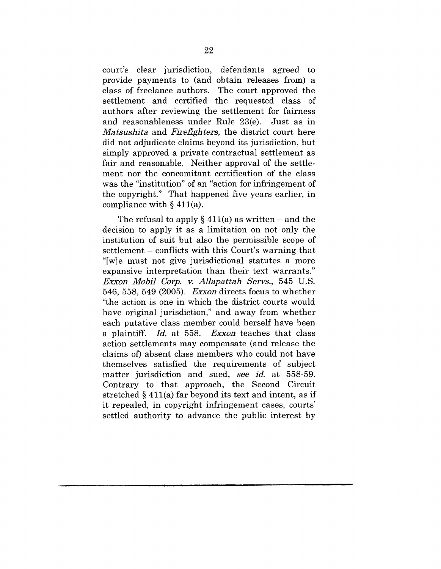court's clear jurisdiction, defendants agreed to provide payments to (and obtain releases from) a class of freelance authors. The court approved the settlement and certified the requested class of authors after reviewing the settlement for fairness and reasonableness under Rule 23(e). Just as in *Matsushita* and *Firefighters,* the district court here did not adjudicate claims beyond its jurisdiction, but simply approved a private contractual settlement as fair and reasonable. Neither approval of the settlement nor the concomitant certification of the class was the "institution" of an "action for infringement of the copyright." That happened five years earlier, in compliance with  $\S$  411(a).

The refusal to apply  $\S 411(a)$  as written – and the decision to apply it as a limitation on not only the institution of suit but also the permissible scope of settlement – conflicts with this Court's warning that "[w]e must not give jurisdictional statutes a more expansive interpretation than their text warrants." *Exxon Mobil Corp. v. Allapattal~ Sorvs.,* 545 U.S. 546, 558, 549 (2005). *Exxon* directs focus to whether "the action is one in which the district courts would have original jurisdiction," and away from whether each putative class member could herself have been a plaintiff. *Id.* at 558. *Exxon* teaches that class action settlements may compensate (and release the claims of) absent class members who could not have themselves satisfied the requirements of subject matter jurisdiction and sued, *see id.* at 558-59. Contrary to that approach, the Second Circuit stretched § 411(a) far beyond its text and intent, as if it repealed, in copyright infringement cases, courts' settled authority to advance the public interest by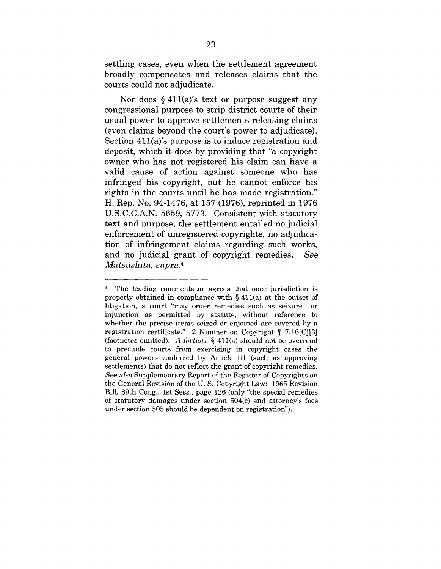settling cases, even when the settlement agreement broadly compensates and releases claims that the courts could not adjudicate.

Nor does  $\S 411(a)$ 's text or purpose suggest any congressional purpose to strip district courts of their usual power to approve settlements releasing claims (even claims beyond the court's power to adjudicate). Section 411(a)'s purpose is to induce registration and deposit, which it does by providing that "a copyright owner who has not registered his claim can have a valid cause of action against someone who has infringed his copyright, but he cannot enforce his rights in the courts until he has made registration." H. Rep. No. 94-1476, at 157 (1976), reprinted in 1976 U.S.C.C.A.N. 5659, 5773. Consistent with statutory text and purpose, the settlement entailed no judicial enforcement of unregistered copyrights, no adjudication of infringement claims regarding such works, and no judicial grant of copyright remedies. See *Ma tsushita, supra.4*

<sup>4</sup> The leading commentator agrees that once jurisdiction is properly obtained in compliance with § 411(a) at the outset of litigation, a court "may order remedies such as seizure or injunction as permitted by statute, without reference to whether the precise items seized or enjoined are covered by a registration certificate." 2 Nimmer on Copyright ¶ 7.16[C][3] (footnotes omitted). *Afortiori, §* 411(a) should not be overread to preclude courts from exercising in copyright cases the general powers conferred by Article III (such as approving settlements) that do not reflect the grant of copyright remedies. *See also* Supplementary Report of the Register of Copyrights on the General Revision of the U. S. Copyright Law: 1965 Revision Bill, 89th Cong., 1st Sess., page 126 (only "the special remedies of statutory damages under section 504(c) and attorney's fees under section 505 should be dependent on registration").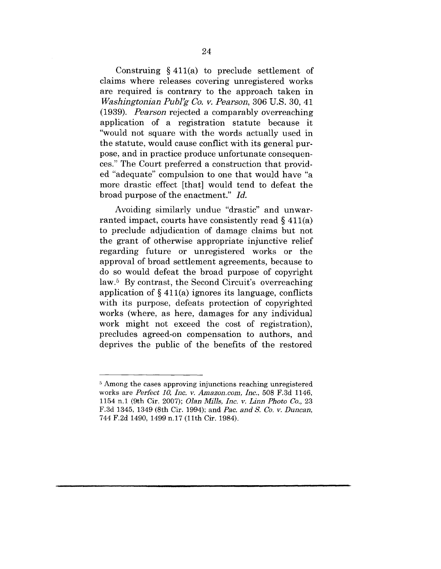Construing § 411(a) to preclude settlement of claims where releases covering unregistered works are required is contrary to the approach taken in *W~shingtonian Publ'g Co. v. Pearson,* 306 U.S. 30, 41 (1939). *Pearson* rejected a comparably overreaching application of a registration statute because it "would not square with the words actually used in the statute, would cause conflict with its general purpose, and in practice produce unfortunate consequences." The Court preferred a construction that provided "adequate" compulsion to one that would have "a more drastic effect [that] would tend to defeat the broad purpose of the enactment." *Id.*

Avoiding similarly undue "drastic" and unwarranted impact, courts have consistently read  $\S$  411(a) to preclude adjudication of damage claims but not the grant of otherwise appropriate injunctive relief regarding future or unregistered works or the approval of broad settlement agreements, because to do so would defeat the broad purpose of copyright law.<sup>5</sup> By contrast, the Second Circuit's overreaching application of  $\S 411(a)$  ignores its language, conflicts with its purpose, defeats protection of copyrighted works (where, as here, damages for any individual work might not exceed the cost of registration), precludes agreed-on compensation to authors, and deprives the public of the benefits of the restored

<sup>&</sup>lt;sup>5</sup> Among the cases approving injunctions reaching unregistered works are *Perfect 10, Inc. v. Amazon.corn, Inc.,* 508 F.3d 1146, 1154 n.1 (9th Cir. 2007); *Olan Mills, Inc. v. Linn Photo Co.,* 23 F.3d 1345, 1349 (Sth Cir. 1994); and *Pac. and S. Co. v. Duncan,* 744 F.2d 1490, 1499 n.17 (11th Cir. 1984).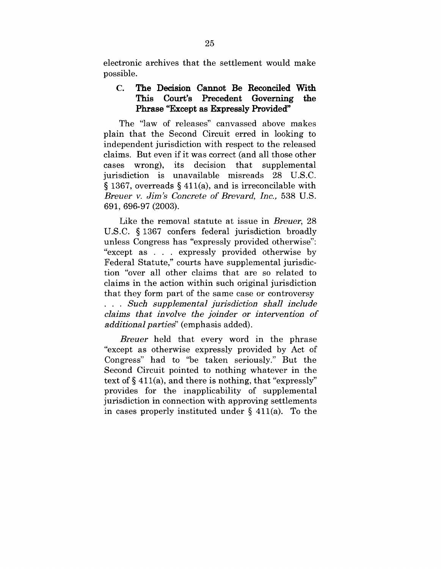electronic archives that the settlement would make possible.

## **C. The Decision Cannot Be Reconciled With This Court's Precedent Governing the Phrase "Except as Expressly Provided"**

The "law of releases" canvassed above makes plain that the Second Circuit erred in looking to independent jurisdiction with respect to the released claims. But even if it was correct (and all those other cases wrong), its decision that supplemental jurisdiction is unavailable misreads 28 U.S.C. § 1367, overreads § 411(a), and is irreconcilable with *Breuer v. Jim's Concrete of Brevard, Inc.,* 538 U.S. 691,696-97 (2003).

Like the removal statute at issue in *Breuer,* 28 U.S.C. § 1367 confers federal jurisdiction broadly unless Congress has "expressly provided otherwise": "except as . . . expressly provided otherwise by Federal Statute," courts have supplemental jurisdiction "over all other claims that are so related to claims in the action within such original jurisdiction that they form part of the same case or controversy *Such supplemental jurisdiction shall include claims that involve the joinder or intervention of additional partied'* (emphasis added).

*Breuer* held that every word in the phrase "except as otherwise expressly provided by Act of Congress" had to "be taken seriously." But the Second Circuit pointed to nothing whatever in the text of  $\S 411(a)$ , and there is nothing, that "expressly" provides for the inapplicability of supplemental jurisdiction in connection with approving settlements in eases properly instituted under § 411(a). To the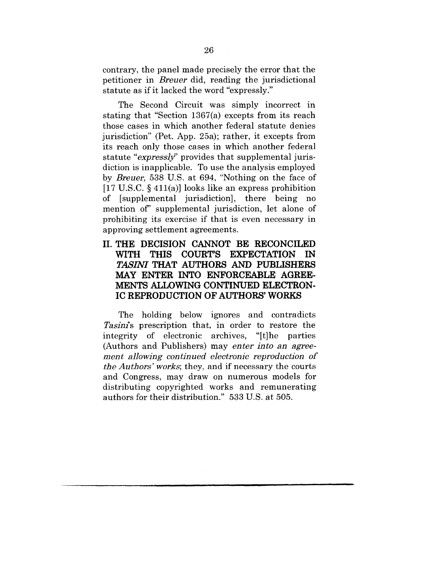contrary, the panel made precisely the error that the petitioner in Breuer did, reading the jurisdictional statute as if it lacked the word "expressly."

The Second Circuit was simply incorrect in stating that "Section 1367(a) excepts from its reach those cases in which another federal statute denies jurisdiction" (Pet. App. 25a); rather, it excepts from its reach only those cases in which another federal statute "*expressly*" provides that supplemental jurisdiction is inapplicable. To use the analysis employed by *Breuer,* 538 U.S. at 694, "Nothing on the face of  $[17 \text{ U.S.C. } \{411(a)\}\)$  looks like an express prohibition of [supplemental jurisdiction], there being no mention of' supplemental jurisdiction, let alone of prohibiting its exercise if that is even necessary in approving settlement agreements.

## **II. THE DECISION CANNOT BE RECONCILED WITH THIS COURT'S EXPECTATION IN** *TASINI* **THAT AUTHORS AND PUBLISHERS MAY ENTER INTO ENFORCEABLE AGREE-MENTS ALLOWING CONTINUED ELECTRON-IC REPRODUCTION OF AUTHORS' WORKS**

The holding below ignores and contradicts *Tasini*'s prescription that, in order to restore the integrity of electronic archives, "[t] he parties (Authors and Publishers) may *enter into an agreement allowing continued electronic reproduction of the Authors' works;* they, and if necessary the courts and Congress, may draw on numerous models for distributing copyrighted works and remunerating authors for their distribution." 533 U.S. at 505.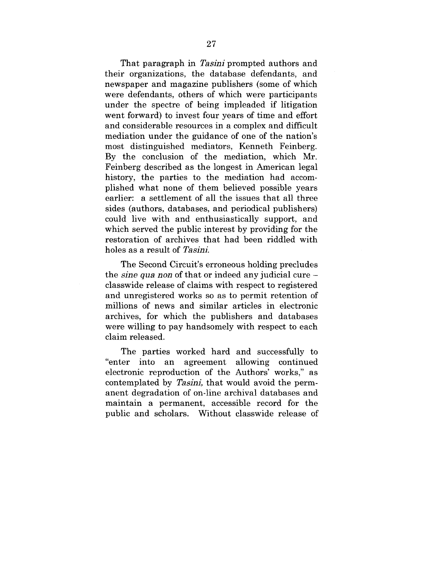That paragraph in *Tasini* prompted authors and their organizations, the database defendants, and newspaper and magazine publishers (some of which were defendants, others of which were participants under the spectre of being impleaded if litigation went forward) to invest four years of time and effort and considerable resources in a complex and difficult mediation under the guidance of one of the nation's most distinguished mediators, Kenneth Feinberg. By the conclusion of the mediation, which Mr. Feinberg described as the longest in American legal history, the parties to the mediation had accomplished what none of them believed possible years earlier: a settlement of all the issues that all three sides (authors, databases, and periodical publishers) could live with and enthusiastically support, and which served the public interest by providing for the restoration of archives that had been riddled with holes as a result of *Tasini*.

The Second Circuit's erroneous holding precludes the *sine qua non* of that or indeed any judicial cure classwide release of claims with respect to registered and unregistered works so as to permit retention of millions of news and similar articles in electronic archives, for which the publishers and databases were willing to pay handsomely with respect to each claim released.

The parties worked hard and successfully to "enter into an agreement allowing continued electronic reproduction of the Authors' works," as contemplated by *Tasini*, that would avoid the permanent degradation of on-line archival databases and maintain a permanent, accessible record for the public and scholars. Without classwide release of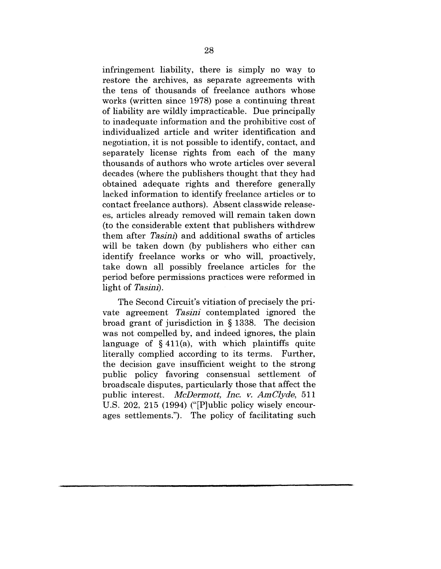infringement liability, there is simply no way to restore the archives, as separate agreements with the tens of thousands of freelance authors whose works (written since 1978) pose a continuing threat of liability are wildly impracticable. Due principally to inadequate information and the prohibitive cost of individualized article and writer identification and negotiation, it is not possible to identify, contact, and separately license rights from each of the many thousands of authors who wrote articles over several decades (where the publishers thought that they had obtained adequate rights and therefore generally lacked information to identify freelance articles or to contact freelance authors). Absent classwide releasees, articles already removed will remain taken down (to the considerable extent that publishers withdrew them after *Tasinl)* and additional swaths of articles will be taken down (by publishers who either can identify freelance works or who will, proactively, take down all possibly freelance articles for the period before permissions practices were reformed in light of Tasini.

The Second Circuit's vitiation of precisely the private agreement *Tasinl* contemplated ignored the broad grant of jurisdiction in § 1338. The decision was not compelled by, and indeed ignores, the plain language of  $\S$  411(a), with which plaintiffs quite literally complied according to its terms. Further. literally complied according to its terms. the decision gave insufficient weight to the strong public policy favoring consensual settlement of broadscale disputes, particularly those that affect the public interest. *McDermott, Inc. v. AmClyde,* 511 U.S. 202, 215 (1994) ("[P]ublic policy wisely encourages settlements."). The policy of facilitating such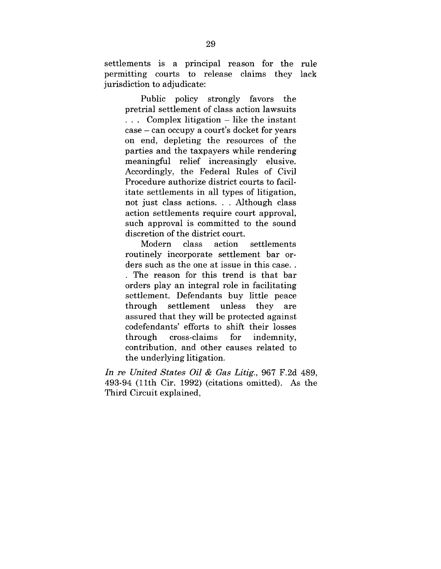settlements is a principal reason for the rule permitting courts to release claims they lack jurisdiction to adjudicate:

Public policy strongly favors the pretrial settlement of class action lawsuits ... Complex litigation – like the instant case - can occupy a court's docket for years on end, depleting the resources of the parties and the taxpayers while rendering meaningful relief increasingly elusive. Accordingly, the Federal Rules of Civil Procedure authorize district courts to facilitate settlements in all types of litigation, not just class actions. . Although class action settlements require court approval, such approval is committed to the sound discretion of the district court.

Modern class action settlements routinely incorporate settlement bar orders such as the one at issue in this case.. The reason for this trend is that bar orders play an integral role in facilitating settlement. Defendants buy little peace through settlement unless  $_{\rm thev}$ are assured that they will be protected against codefendants' efforts to shift their losses through cross-claims for indemnity. contribution, and other causes related to the underlying litigation.

*In re United States 0ii & Gas Litig.,* 967 F.2d 489, 493-94 (11th Cir. 1992) (citations omitted). As the Third Circuit explained,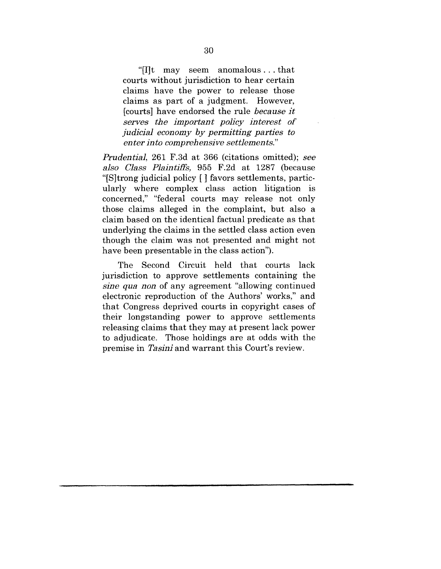"[I]t may seem anomalous...that courts without jurisdiction to hear certain claims have the power to release those claims as part of a judgment. However, [courts] have endorsed the rule because *it serves the important policy interest of judicial economy by permitting parties to enter into comprehensive settlements."*

*Prudential,* 261 F.3d at 366 (citations omitted); *see also Class Plaintiffs,* 955 F.2d at 1287 (because "[S]trong judicial policy [ ] favors settlements, particularly where complex class action litigation is concerned," "federal courts may release not only those claims alleged in the complaint, but also a claim based on the identical factual predicate as that underlying the claims in the settled class action even though the claim was not presented and might not have been presentable in the class action").

The Second Circuit held that courts lack jurisdiction to approve settlements containing the *sine qua non* of any agreement "allowing continued electronic reproduction of the Authors' works," and that Congress deprived courts in copyright cases of their longstanding power to approve settlements releasing claims that they may at present lack power to adjudicate. Those holdings are at odds with the premise in *Tasini* and warrant this Court's review.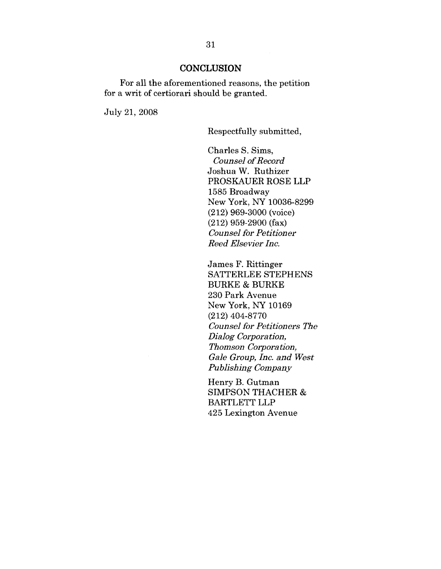#### **CONCLUSION**

For all the aforementioned reasons, the petition for a writ of certiorari should be granted.

July 21, 2008

Respectfully submitted,

Charles S. Sims, *Counsel o£ Record* Joshua W. Ruthizer PROSKAUER ROSE LLP 1585 Broadway New York, NY 10036-8299 (212) 969-3000 (voice) (212) 959-2900 (fax) *Counsel for Petitioner Rood Elsevier Inc.*

James F. Rittinger SATTERLEE STEPHENS BURKE & BURKE 230 Park Avenue New York, NY 10169 (212) 404-8770 *Counsel for Petitioners The Dialog Corporation, Thomson Corporation, Gale Group, Ine. and West Publishing Company*

Henry B. Gutman SIMPSON THACHER & BARTLETT LLP 425 Lexington Avenue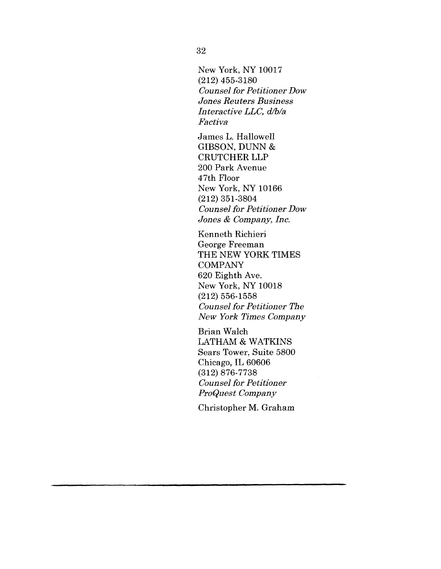New York, NY 10017 (212) 455-3180 *Counsel for Petitioner Dow* Jones *Reuters* Business *Interactive LLC, d/b/a Factiva*

James L. Hallowell GIBSON, DUNN & CRUTCHER LLP 200 Park Avenue 47th Floor New York, NY 10166 (212) 351-3804 *Counsel for Petitioner Dow Jones & Company, Inc.*

Kenneth Riehieri George Freeman THE NEW YORK TIMES COMPANY 620 Eighth Ave. New York, NY 10018 (212) 556-1558 *Counsel for Petitioner The New York Times Company*

Brian Walch LATHAM & WATKINS Sears Tower, Suite 5800 Chicago, IL 60606 (312) 876-7738 *CounseI for Petitioner ProQuest Company*

Christopher M. Graham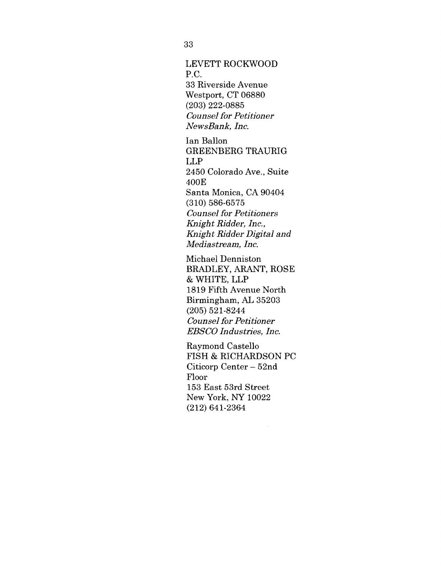## LEVETT ROCKWOOD P.C. 33 Riverside Avenue Westport, CT 06880 (203) 222-0885 *Counsel for Petitioner*

*NewsBank, Inc.*

Ian Ballon GREENBERG TRAURIG LLP 2450 Colorado Ave., Suite 400E Santa Monica, CA 90404 (310) 586-6575 *Counsel for Petitioners Knight Ridder, Inc., Knight Ridder Digital and Mediastream, lne.*

Michael Denniston BRADLEY, ARANT, ROSE & WHITE, LLP 1819 Fifth Avenue North Birmingham, AL 35203 (205) 521-8244 *Counsel for Petitioner EBSCO Industries, Inc.*

Raymond Castello FISH & RICHARDSON PC Citieorp Center- 52nd Floor 153 East 53rd Street New York, NY 10022 (212) 641-2364

33